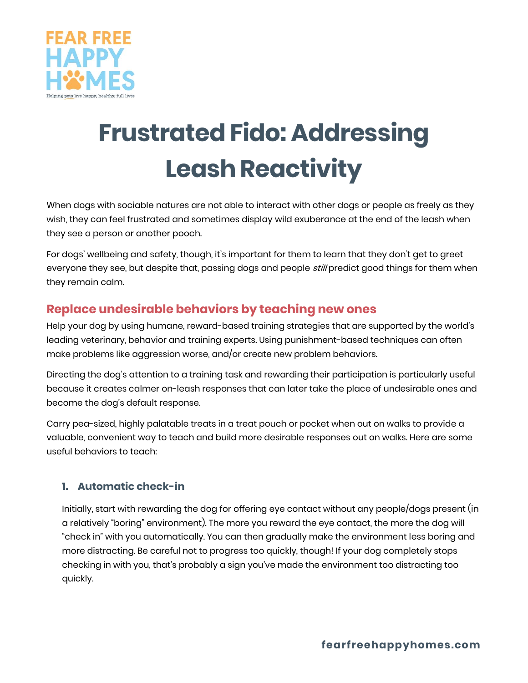

# **Frustrated Fido: Addressing Leash Reactivity**

When dogs with sociable natures are not able to interact with other dogs or people as freely as they wish, they can feel frustrated and sometimes display wild exuberance at the end of the leash when they see a person or another pooch.

For dogs' wellbeing and safety, though, it's important for them to learn that they don't get to greet everyone they see, but despite that, passing dogs and people *still* predict good things for them when they remain calm.

## **Replace undesirable behaviors by teaching new ones**

Help your dog by using humane, reward-based training strategies that are supported by the world's leading veterinary, behavior and training experts. Using punishment-based techniques can often make problems like aggression worse, and/or create new problem behaviors.

Directing the dog's attention to a training task and rewarding their participation is particularly useful because it creates calmer on-leash responses that can later take the place of undesirable ones and become the dog's default response.

Carry pea-sized, highly palatable treats in a treat pouch or pocket when out on walks to provide a valuable, convenient way to teach and build more desirable responses out on walks. Here are some useful behaviors to teach:

#### **1. Automatic check-in**

Initially, start with rewarding the dog for offering eye contact without any people/dogs present (in a relatively "boring" environment). The more you reward the eye contact, the more the dog will "check in" with you automatically. You can then gradually make the environment less boring and more distracting. Be careful not to progress too quickly, though! If your dog completely stops checking in with you, that's probably a sign you've made the environment too distracting too quickly.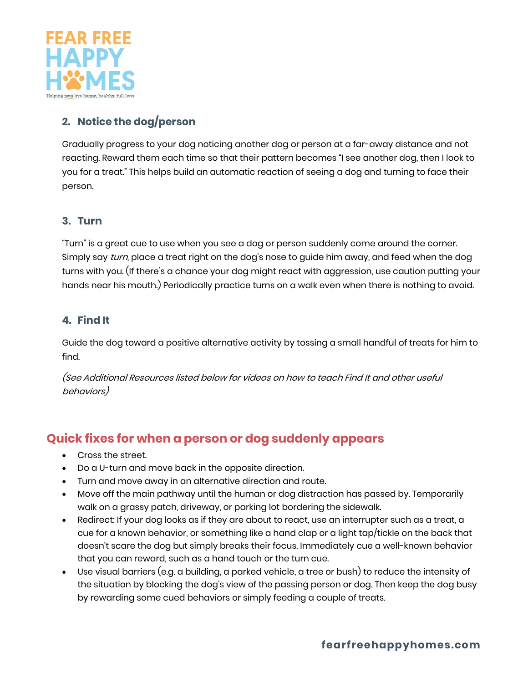

#### **2. Notice the dog/person**

Gradually progress to your dog noticing another dog or person at a far-away distance and not reacting. Reward them each time so that their pattern becomes "I see another dog, then I look to you for a treat." This helps build an automatic reaction of seeing a dog and turning to face their person.

#### **3. Turn**

"Turn" is a great cue to use when you see a dog or person suddenly come around the corner. Simply say turn, place a treat right on the dog's nose to guide him away, and feed when the dog turns with you. (If there's a chance your dog might react with aggression, use caution putting your hands near his mouth.) Periodically practice turns on a walk even when there is nothing to avoid.

#### **4. Find It**

Guide the dog toward a positive alternative activity by tossing a small handful of treats for him to find.

(See Additional Resources listed below for videos on how to teach Find It and other useful behaviors)

## **Quick fixes for when a person or dog suddenly appears**

- Cross the street.
- Do a U-turn and move back in the opposite direction.
- Turn and move away in an alternative direction and route.
- Move off the main pathway until the human or dog distraction has passed by. Temporarily walk on a grassy patch, driveway, or parking lot bordering the sidewalk.
- Redirect: If your dog looks as if they are about to react, use an interrupter such as a treat, a cue for a known behavior, or something like a hand clap or a light tap/tickle on the back that doesn't scare the dog but simply breaks their focus. Immediately cue a well-known behavior that you can reward, such as a hand touch or the turn cue.
- Use visual barriers (e.g. a building, a parked vehicle, a tree or bush) to reduce the intensity of the situation by blocking the dog's view of the passing person or dog. Then keep the dog busy by rewarding some cued behaviors or simply feeding a couple of treats.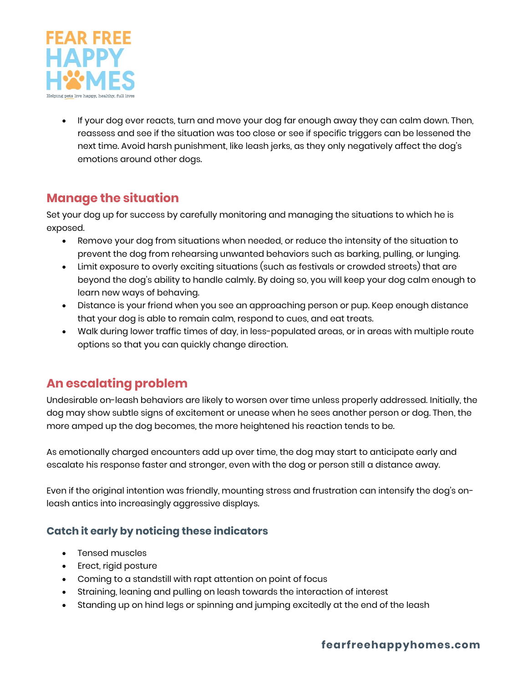

• If your dog ever reacts, turn and move your dog far enough away they can calm down. Then, reassess and see if the situation was too close or see if specific triggers can be lessened the next time. Avoid harsh punishment, like leash jerks, as they only negatively affect the dog's emotions around other dogs.

## **Manage the situation**

Set your dog up for success by carefully monitoring and managing the situations to which he is exposed.

- Remove your dog from situations when needed, or reduce the intensity of the situation to prevent the dog from rehearsing unwanted behaviors such as barking, pulling, or lunging.
- Limit exposure to overly exciting situations (such as festivals or crowded streets) that are beyond the dog's ability to handle calmly. By doing so, you will keep your dog calm enough to learn new ways of behaving.
- Distance is your friend when you see an approaching person or pup. Keep enough distance that your dog is able to remain calm, respond to cues, and eat treats.
- Walk during lower traffic times of day, in less-populated areas, or in areas with multiple route options so that you can quickly change direction.

## **An escalating problem**

Undesirable on-leash behaviors are likely to worsen over time unless properly addressed. Initially, the dog may show subtle signs of excitement or unease when he sees another person or dog. Then, the more amped up the dog becomes, the more heightened his reaction tends to be.

As emotionally charged encounters add up over time, the dog may start to anticipate early and escalate his response faster and stronger, even with the dog or person still a distance away.

Even if the original intention was friendly, mounting stress and frustration can intensify the dog's onleash antics into increasingly aggressive displays.

#### **Catch it early by noticing these indicators**

- Tensed muscles
- Erect, rigid posture
- Coming to a standstill with rapt attention on point of focus
- Straining, leaning and pulling on leash towards the interaction of interest
- Standing up on hind legs or spinning and jumping excitedly at the end of the leash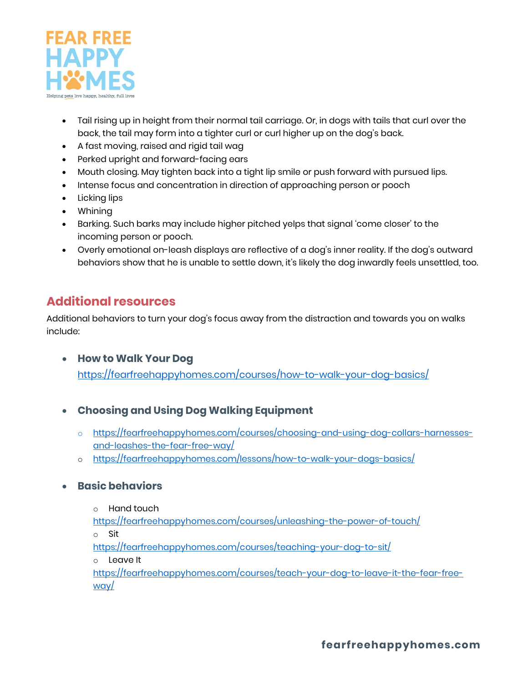

- Tail rising up in height from their normal tail carriage. Or, in dogs with tails that curl over the back, the tail may form into a tighter curl or curl higher up on the dog's back.
- A fast moving, raised and rigid tail wag
- Perked upright and forward-facing ears
- Mouth closing. May tighten back into a tight lip smile or push forward with pursued lips.
- Intense focus and concentration in direction of approaching person or pooch
- Licking lips
- Whining
- Barking. Such barks may include higher pitched yelps that signal 'come closer' to the incoming person or pooch.
- Overly emotional on-leash displays are reflective of a dog's inner reality. If the dog's outward behaviors show that he is unable to settle down, it's likely the dog inwardly feels unsettled, too.

## **Additional resources**

Additional behaviors to turn your dog's focus away from the distraction and towards you on walks include:

- **How to Walk Your Dog** <https://fearfreehappyhomes.com/courses/how-to-walk-your-dog-basics/>
- **Choosing and Using Dog Walking Equipment**
	- o [https://fearfreehappyhomes.com/courses/choosing-and-using-dog-collars-harnesses](https://fearfreehappyhomes.com/courses/choosing-and-using-dog-collars-harnesses-and-leashes-the-fear-free-way/)[and-leashes-the-fear-free-way/](https://fearfreehappyhomes.com/courses/choosing-and-using-dog-collars-harnesses-and-leashes-the-fear-free-way/)
	- o <https://fearfreehappyhomes.com/lessons/how-to-walk-your-dogs-basics/>

#### • **Basic behaviors**

o Hand touch

<https://fearfreehappyhomes.com/courses/unleashing-the-power-of-touch/>

o Sit

<https://fearfreehappyhomes.com/courses/teaching-your-dog-to-sit/>

o Leave It

[https://fearfreehappyhomes.com/courses/teach-your-dog-to-leave-it-the-fear-free](https://fearfreehappyhomes.com/courses/teach-your-dog-to-leave-it-the-fear-free-way/)[way/](https://fearfreehappyhomes.com/courses/teach-your-dog-to-leave-it-the-fear-free-way/)